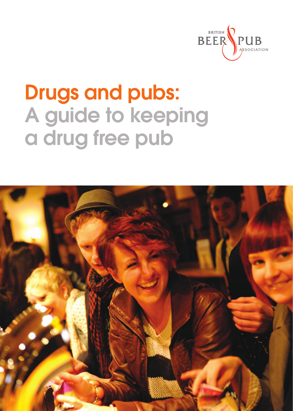

# Drugs and pubs: A guide to keeping a drug free pub

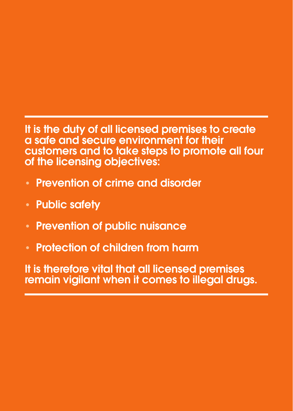It is the duty of all licensed premises to create a safe and secure environment for their customers and to take steps to promote all four of the licensing objectives:

- Prevention of crime and disorder
- Public safety
- Prevention of public nuisance
- Protection of children from harm

It is therefore vital that all licensed premises remain vigilant when it comes to illegal drugs.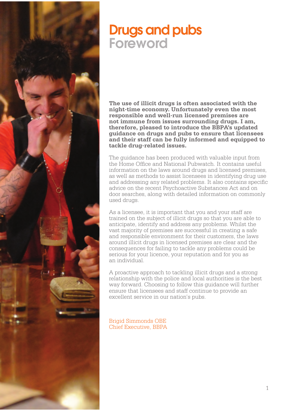### Drugs and pubs Foreword

**The use of illicit drugs is often associated with the night-time economy. Unfortunately even the most responsible and well-run licensed premises are not immune from issues surrounding drugs. I am, therefore, pleased to introduce the BBPA's updated guidance on drugs and pubs to ensure that licensees and their staff can be fully informed and equipped to tackle drug-related issues.** 

The guidance has been produced with valuable input from the Home Office and National Pubwatch. It contains useful information on the laws around drugs and licensed premises, as well as methods to assist licensees in identifying drug use and addressing any related problems. It also contains specific advice on the recent Psychoactive Substances Act and on door searches, along with detailed information on commonly used drugs.

As a licensee, it is important that you and your staff are trained on the subject of illicit drugs so that you are able to anticipate, identify and address any problems. Whilst the vast majority of premises are successful in creating a safe and responsible environment for their customers, the laws around illicit drugs in licensed premises are clear and the consequences for failing to tackle any problems could be serious for your licence, your reputation and for you as an individual.

A proactive approach to tackling illicit drugs and a strong relationship with the police and local authorities is the best way forward. Choosing to follow this guidance will further ensure that licensees and staff continue to provide an excellent service in our nation's pubs.

Brigid Simmonds OBE Chief Executive, BBPA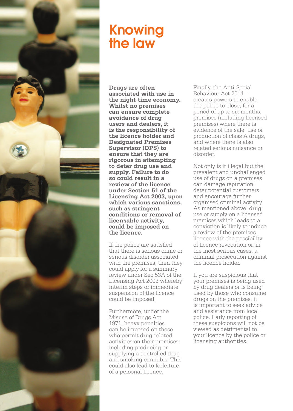

# Knowing the law

**Drugs are often associated with use in the night-time economy. Whilst no premises can ensure complete avoidance of drug users and dealers, it is the responsibility of the licence holder and Designated Premises Supervisor (DPS) to ensure that they are rigorous in attempting to deter drug use and supply. Failure to do so could result in a review of the licence under Section 51 of the Licensing Act 2003, upon which various sanctions, such as stringent conditions or removal of licensable activity, could be imposed on the licence.**

If the police are satisfied that there is serious crime or serious disorder associated with the premises, then they could apply for a summary review under Sec 53A of the Licensing Act 2003 whereby interim steps or immediate suspension of the licence could be imposed.

Furthermore, under the Misuse of Drugs Act 1971, heavy penalties can be imposed on those who permit drug-related activities on their premises including producing or supplying a controlled drug and smoking cannabis. This could also lead to forfeiture of a personal licence.

Finally, the Anti-Social Behaviour Act 2014 – creates powers to enable the police to close, for a period of up to six months, premises (including licensed premises) where there is evidence of the sale, use or production of class A drugs, and where there is also related serious nuisance or disorder.

Not only is it illegal but the prevalent and unchallenged use of drugs on a premises can damage reputation, deter potential customers and encourage further organised criminal activity. As mentioned above, drug use or supply on a licensed premises which leads to a conviction is likely to induce a review of the premises licence with the possibility of licence revocation or, in the most serious cases, a criminal prosecution against the licence holder.

If you are suspicious that your premises is being used by drug dealers or is being used by those who consume drugs on the premises, it is important to seek advice and assistance from local police. Early reporting of these suspicions will not be viewed as detrimental to your licence by the police or licensing authorities.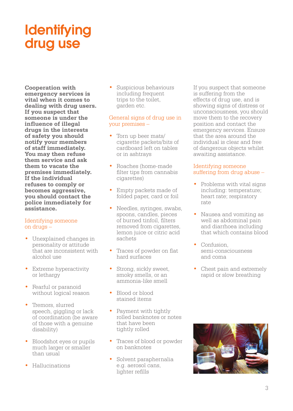# **Identifying** drug use

**Cooperation with emergency services is vital when it comes to dealing with drug users. If you suspect that someone is under the influence of illegal drugs in the interests of safety you should notify your members of staff immediately. You may then refuse them service and ask them to vacate the premises immediately. If the individual refuses to comply or becomes aggressive, you should contact the police immediately for assistance.**

#### Identifying someone on drugs –

- Unexplained changes in personality or attitude that are inconsistent with alcohol use
- Extreme hyperactivity or lethargy
- Fearful or paranoid without logical reason
- Tremors, slurred speech, giggling or lack of coordination (be aware of those with a genuine disability)
- Bloodshot eyes or pupils much larger or smaller than usual
- Hallucinations

• Suspicious behaviours including frequent trips to the toilet, garden etc.

#### General signs of drug use in your premises –

- Torn up beer mats/ cigarette packets/bits of cardboard left on tables or in ashtrays
- Roaches (home-made filter tips from cannabis cigarettes)
- Empty packets made of folded paper, card or foil
- Needles, syringes, swabs, spoons, candles, pieces of burned tinfoil, filters removed from cigarettes, lemon juice or citric acid sachets
- Traces of powder on flat hard surfaces
- Strong, sickly sweet, smoky smells, or an ammonia-like smell
- Blood or blood stained items
- Payment with tightly rolled banknotes or notes that have been tightly rolled
- Traces of blood or powder on banknotes
- Solvent paraphernalia e.g. aerosol cans, lighter refills

If you suspect that someone is suffering from the effects of drug use, and is showing signs of distress or unconsciousness, you should move them to the recovery position and contact the emergency services. Ensure that the area around the individual is clear and free of dangerous objects whilst awaiting assistance.

#### Identifying someone suffering from drug abuse –

- Problems with vital signs including: temperature; heart rate; respiratory rate
- Nausea and vomiting as well as abdominal pain and diarrhoea including that which contains blood
- Confusion, semi-consciousness and coma
- Chest pain and extremely rapid or slow breathing

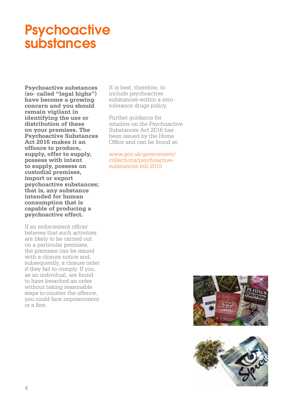### **Psychoactive** substances

**Psychoactive substances (so- called "legal highs") have become a growing concern and you should remain vigilant in identifying the use or distribution of these on your premises. The Psychoactive Substances Act 2016 makes it an offence to produce, supply, offer to supply, possess with intent to supply, possess on custodial premises, import or export psychoactive substances; that is, any substance intended for human consumption that is capable of producing a psychoactive effect.** 

If an enforcement officer believes that such activities are likely to be carried out on a particular premises, the premises can be issued with a closure notice and, subsequently, a closure order if they fail to comply. If you, as an individual, are found to have breached an order without taking reasonable steps to counter the offence, you could face imprisonment or a fine.

It is best, therefore, to include psychoactive substances within a zerotolerance drugs policy.

Further guidance for retailers on the Psychoactive Substances Act 2016 has been issued by the Home Office and can be found at:

www.gov.uk/government/ collections/psychoactivesubstances-bill-2015



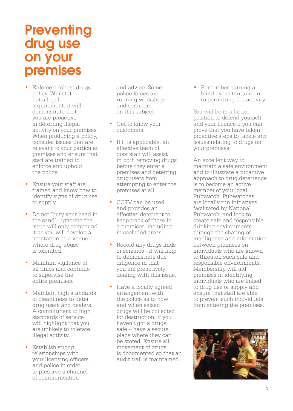#### **Preventing** drug use on your premises

- Enforce a robust drugs policy. Whilst it not a legal requirement, it will demonstrate that you are proactive in deterring illegal activity on your premises. When producing a policy, consider issues that are relevant to your particular premises and ensure that staff are trained to enforce and uphold the policy.
- Ensure your staff are trained and know how to identify signs of drug use or supply.
- Do not 'bury your head in the sand' - ignoring the issue will only compound it as you will develop a reputation as a venue where drug abuse is tolerated.
- Maintain vigilance at all times and continue to supervise the entire premises.
- Maintain high standards of cleanliness to deter drug users and dealers. A commitment to high standards of service will highlight that you are unlikely to tolerate illegal activity.
- Establish strong relationships with your licensing officers and police in order to preserve a channel of communication

and advice. Some police forces are running workshops and seminars on this subject.

- Get to know your customers.
- If it is applicable, an effective team of door staff will assist in both removing drugs before they enter a premises and deterring drug users from attempting to enter the premises at all.
- CCTV can be used and provides an effective deterrent to keep track of those in a premises, including in secluded areas.
- Record any drugs finds or seizures - it will help to demonstrate due diligence in that you are proactively dealing with this issue.
- Have a locally agreed arrangement with the police as to how and when seized drugs will be collected for destruction. If you haven't got a drugs safe – have a secure place where they can be stored. Ensure all movement of drugs is documented so that an audit trail is maintained.

• Remember, turning a blind eye is tantamount to permitting the activity.

You will be in a better position to defend yourself and your licence if you can prove that you have taken proactive steps to tackle any issues relating to drugs on your premises.

An excellent way to maintain a safe environment and to illustrate a proactive approach to drug deterrence is to become an active member of your local Pubwatch. Pubwatches are locally run initiatives, facilitated by National Pubwatch, and look to create safe and responsible drinking environments through the sharing of intelligence and information between premises on individuals who are known to threaten such safe and responsible environments. Membership will aid premises in identifying individuals who are linked to drug use or supply and ensure that staff are able to prevent such individuals from entering the premises.

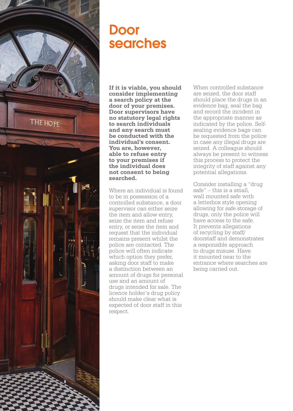

#### Door searches

**If it is viable, you should consider implementing a search policy at the door of your premises. Door supervisors have no statutory legal rights to search individuals and any search must be conducted with the individual's consent. You are, however, able to refuse entry to your premises if the individual does not consent to being searched.** 

Where an individual is found to be in possession of a controlled substance, a door supervisor can either seize the item and allow entry, seize the item and refuse entry, or seize the item and request that the individual remains present whilst the police are contacted. The police will often indicate which option they prefer, asking door staff to make a distinction between an amount of drugs for personal use and an amount of drugs intended for sale. The licence holder's drug policy should make clear what is expected of door staff in this respect.

When controlled substance are seized, the door staff should place the drugs in an evidence bag, seal the bag and record the incident in the appropriate manner as indicated by the police. Selfsealing evidence bags can be requested from the police in case any illegal drugs are seized. A colleague should always be present to witness this process to protect the integrity of staff against any potential allegations.

Consider installing a "drug safe" – this is a small, wall mounted safe with a letterbox style opening allowing for safe storage of drugs, only the police will have access to the safe. It prevents allegations of recycling by staff/ doorstaff and demonstrates a responsible approach to drugs misuse. Have it mounted near to the entrance where searches are being carried out.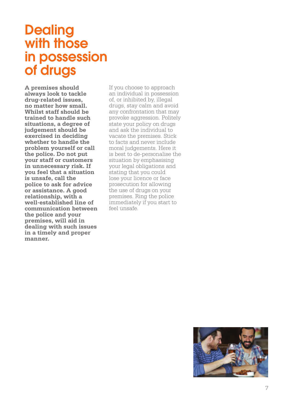#### **Dealing** with those in possession of drugs

**A premises should always look to tackle drug-related issues, no matter how small. Whilst staff should be trained to handle such situations, a degree of judgement should be exercised in deciding whether to handle the problem yourself or call the police. Do not put your staff or customers in unnecessary risk. If you feel that a situation is unsafe, call the police to ask for advice or assistance. A good relationship, with a well-established line of communication between the police and your premises, will aid in dealing with such issues in a timely and proper manner.** 

If you choose to approach an individual in possession of, or inhibited by, illegal drugs, stay calm and avoid any confrontation that may provoke aggression. Politely state your policy on drugs and ask the individual to vacate the premises. Stick to facts and never include moral judgements. Here it is best to de-personalise the situation by emphasising your legal obligations and stating that you could lose your licence or face prosecution for allowing the use of drugs on your premises. Ring the police immediately if you start to feel unsafe.

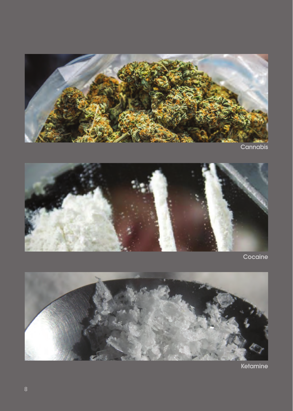

**Cannabis** 



Cocaine



Ketamine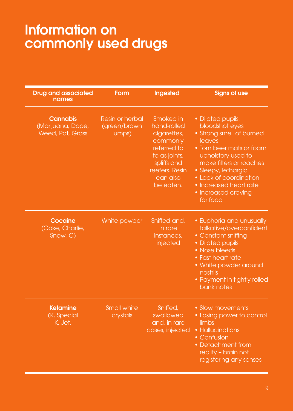### Information on commonly used drugs

| <b>Drug and associated</b><br>names                      | Form                                      | Ingested                                                                                                                                      | <b>Signs of use</b>                                                                                                                                                                                                                                                  |
|----------------------------------------------------------|-------------------------------------------|-----------------------------------------------------------------------------------------------------------------------------------------------|----------------------------------------------------------------------------------------------------------------------------------------------------------------------------------------------------------------------------------------------------------------------|
|                                                          |                                           |                                                                                                                                               |                                                                                                                                                                                                                                                                      |
| <b>Cannabis</b><br>(Marijuana, Dope,<br>Weed, Pot, Grass | Resin or herbal<br>(green/brown<br>lumps) | Smoked in<br>hand-rolled<br>cigarettes,<br>commonly<br>referred to<br>to as joints,<br>spliffs and<br>reefers, Resin<br>can also<br>be eaten. | • Dilated pupils,<br>bloodshot eyes<br>• Strong smell of burned<br>leaves<br>• Torn beer mats or foam<br>upholstery used to<br>make filters or roaches<br>• Sleepy, lethargic<br>• Lack of coordination<br>• Increased heart rate<br>• Increased craving<br>for food |
| Cocaine<br>(Coke, Charlie,<br>Snow, C)                   | White powder                              | Sniffed and,<br>in rare<br>instances.<br>injected                                                                                             | • Euphoria and unusually<br>talkative/overconfident<br>• Constant sniffing<br>· Dilated pupils<br>• Nose bleeds<br>• Fast heart rate<br>• White powder around<br>nostrils<br>• Payment in tightly rolled<br>bank notes                                               |
| <b>Ketamine</b><br>(K, Special<br>K. Jet.                | <b>Small white</b><br>crystals            | Sniffed,<br>swallowed<br>and, in rare<br>cases, injected                                                                                      | • Slow movements<br>• Losing power to control<br>limbs<br>• Hallucinations<br>• Confusion<br>• Detachment from<br>reality - brain not<br>registering any senses                                                                                                      |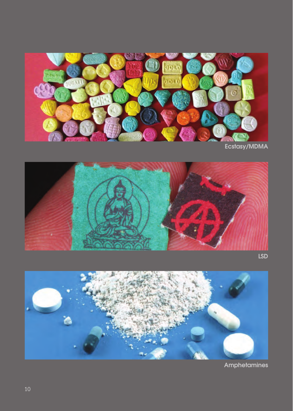

Ecstasy/MDMA



LSD



Amphetamines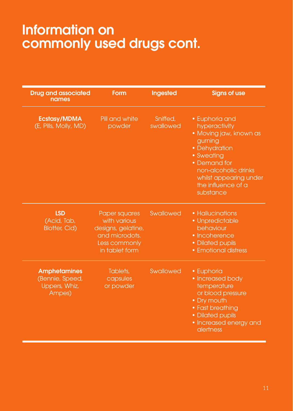# Information on commonly used drugs cont.

| <b>Drug</b> and associated<br>names                               | Form                                                                                                     | Ingested              | <b>Signs of use</b>                                                                                                                                                                                      |
|-------------------------------------------------------------------|----------------------------------------------------------------------------------------------------------|-----------------------|----------------------------------------------------------------------------------------------------------------------------------------------------------------------------------------------------------|
| <b>Ecstasy/MDMA</b><br>(E, Pills, Molly, MD)                      | Pill and white<br>powder                                                                                 | Sniffed.<br>swallowed | • Euphoria and<br>hyperactivity<br>• Moving jaw, known as<br>gurning<br>• Dehydration<br>• Sweating<br>• Demand for<br>non-alcoholic drinks<br>whilst appearing under<br>the influence of a<br>substance |
| <b>LSD</b><br>(Acid, Tab,<br><b>Blotter, Cid)</b>                 | Paper squares<br>with various<br>designs, gelatine,<br>and microdots.<br>Less commonly<br>in tablet form | Swallowed             | • Hallucinations<br>· Unpredictable<br>behaviour<br>• Incoherence<br>• Dilated pupils<br>• Emotional distress                                                                                            |
| <b>Amphetamines</b><br>(Bennie, Speed,<br>Uppers, Whiz,<br>Ampes) | Tablets,<br>capsules<br>or powder                                                                        | Swallowed             | • Euphoria<br>• Increased body<br>temperature<br>or blood pressure<br>• Dry mouth<br>• Fast breathing<br>• Dilated pupils<br>• Increased energy and<br>alertness                                         |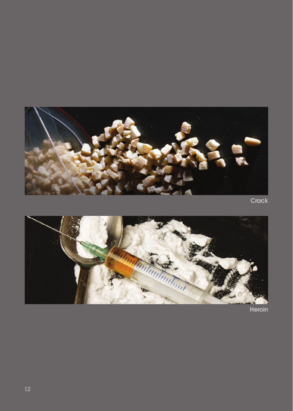

Crack



Heroin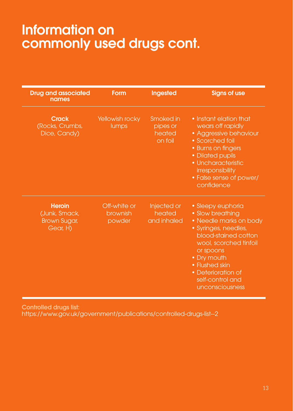### Information on commonly used drugs cont.

| <b>Drug and associated</b><br>names                        | Form                               | Ingested                                   | <b>Signs of use</b>                                                                                                                                                                                                                                  |
|------------------------------------------------------------|------------------------------------|--------------------------------------------|------------------------------------------------------------------------------------------------------------------------------------------------------------------------------------------------------------------------------------------------------|
| <b>Crack</b><br>(Rocks, Crumbs,<br>Dice, Candy)            | Yellowish rocky<br>lumps           | Smoked in<br>pipes or<br>heated<br>on foil | • Instant elation that<br>wears off rapidly<br>• Aggressive behaviour<br>• Scorched foil<br>• Burns on fingers<br>· Dilated pupils<br>· Uncharacteristic<br>irresponsibility<br>• False sense of power/<br>confidence                                |
| <b>Heroin</b><br>(Junk, Smack,<br>Brown Sugar,<br>Gear, H) | Off-white or<br>brownish<br>powder | Injected or<br>heated<br>and inhaled       | • Sleepy euphoria<br>• Slow breathing<br>• Needle marks on body<br>· Syringes, needles,<br>blood-stained cotton<br>wool, scorched tinfoil<br>or spoons<br>• Dry mouth<br>• Flushed skin<br>• Deterioration of<br>self-control and<br>unconsciousness |

Controlled drugs list: https://www.gov.uk/government/publications/controlled-drugs-list--2